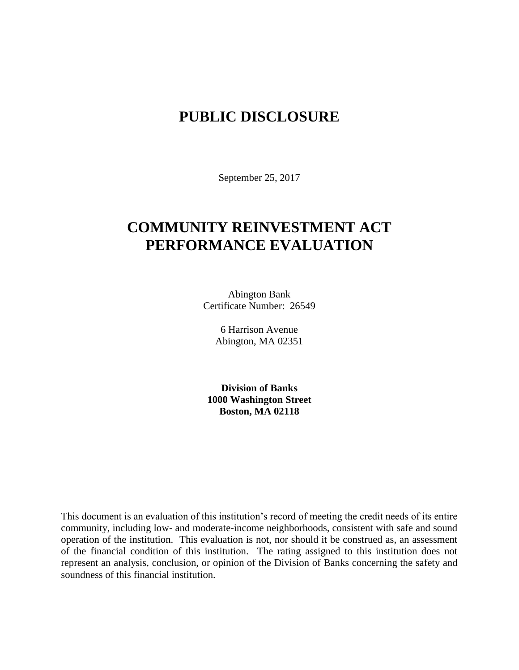# **PUBLIC DISCLOSURE**

September 25, 2017

# **COMMUNITY REINVESTMENT ACT PERFORMANCE EVALUATION**

Abington Bank Certificate Number: 26549

> 6 Harrison Avenue Abington, MA 02351

**Division of Banks 1000 Washington Street Boston, MA 02118**

This document is an evaluation of this institution's record of meeting the credit needs of its entire community, including low- and moderate-income neighborhoods, consistent with safe and sound operation of the institution.This evaluation is not, nor should it be construed as, an assessment of the financial condition of this institution. The rating assigned to this institution does not represent an analysis, conclusion, or opinion of the Division of Banks concerning the safety and soundness of this financial institution.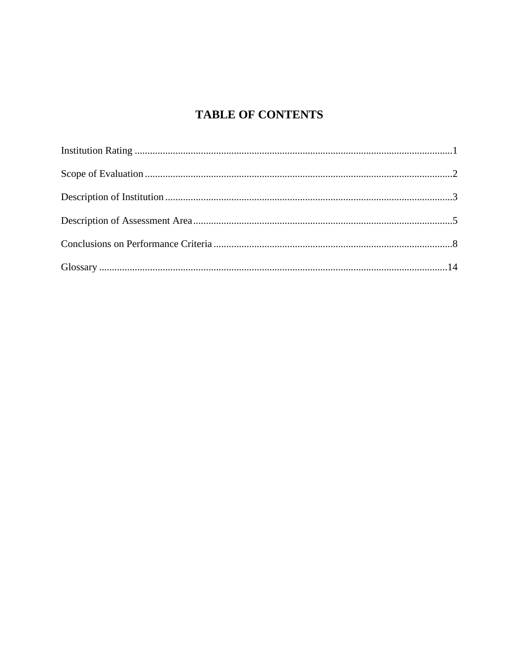# **TABLE OF CONTENTS**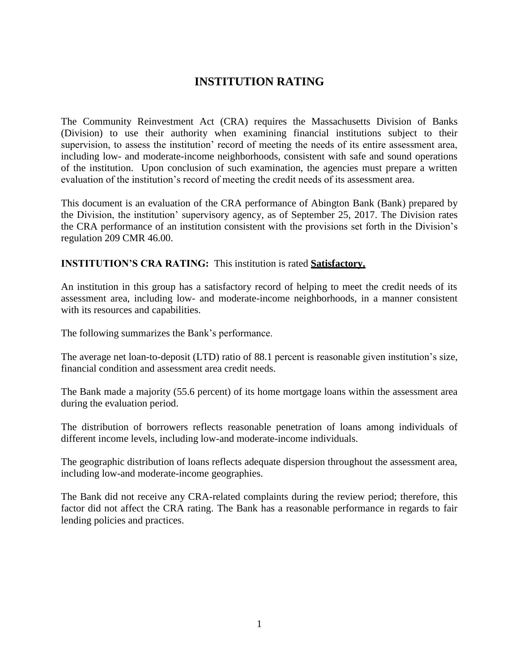# **INSTITUTION RATING**

The Community Reinvestment Act (CRA) requires the Massachusetts Division of Banks (Division) to use their authority when examining financial institutions subject to their supervision, to assess the institution' record of meeting the needs of its entire assessment area, including low- and moderate-income neighborhoods, consistent with safe and sound operations of the institution. Upon conclusion of such examination, the agencies must prepare a written evaluation of the institution's record of meeting the credit needs of its assessment area.

This document is an evaluation of the CRA performance of Abington Bank (Bank) prepared by the Division, the institution' supervisory agency, as of September 25, 2017. The Division rates the CRA performance of an institution consistent with the provisions set forth in the Division's regulation 209 CMR 46.00.

### **INSTITUTION'S CRA RATING:** This institution is rated **Satisfactory.**

An institution in this group has a satisfactory record of helping to meet the credit needs of its assessment area, including low- and moderate-income neighborhoods, in a manner consistent with its resources and capabilities.

The following summarizes the Bank's performance.

The average net loan-to-deposit (LTD) ratio of 88.1 percent is reasonable given institution's size, financial condition and assessment area credit needs.

The Bank made a majority (55.6 percent) of its home mortgage loans within the assessment area during the evaluation period.

The distribution of borrowers reflects reasonable penetration of loans among individuals of different income levels, including low-and moderate-income individuals.

The geographic distribution of loans reflects adequate dispersion throughout the assessment area, including low-and moderate-income geographies.

The Bank did not receive any CRA-related complaints during the review period; therefore, this factor did not affect the CRA rating. The Bank has a reasonable performance in regards to fair lending policies and practices.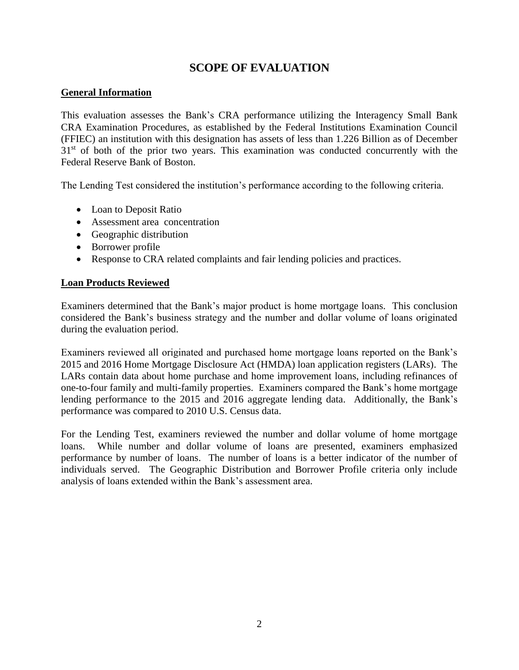# **SCOPE OF EVALUATION**

## **General Information**

This evaluation assesses the Bank's CRA performance utilizing the Interagency Small Bank CRA Examination Procedures, as established by the Federal Institutions Examination Council (FFIEC) an institution with this designation has assets of less than 1.226 Billion as of December  $31<sup>st</sup>$  of both of the prior two years. This examination was conducted concurrently with the Federal Reserve Bank of Boston.

The Lending Test considered the institution's performance according to the following criteria.

- Loan to Deposit Ratio
- Assessment area concentration
- Geographic distribution
- Borrower profile
- Response to CRA related complaints and fair lending policies and practices.

### **Loan Products Reviewed**

Examiners determined that the Bank's major product is home mortgage loans. This conclusion considered the Bank's business strategy and the number and dollar volume of loans originated during the evaluation period.

Examiners reviewed all originated and purchased home mortgage loans reported on the Bank's 2015 and 2016 Home Mortgage Disclosure Act (HMDA) loan application registers (LARs). The LARs contain data about home purchase and home improvement loans, including refinances of one-to-four family and multi-family properties. Examiners compared the Bank's home mortgage lending performance to the 2015 and 2016 aggregate lending data. Additionally, the Bank's performance was compared to 2010 U.S. Census data.

For the Lending Test, examiners reviewed the number and dollar volume of home mortgage loans. While number and dollar volume of loans are presented, examiners emphasized performance by number of loans. The number of loans is a better indicator of the number of individuals served. The Geographic Distribution and Borrower Profile criteria only include analysis of loans extended within the Bank's assessment area.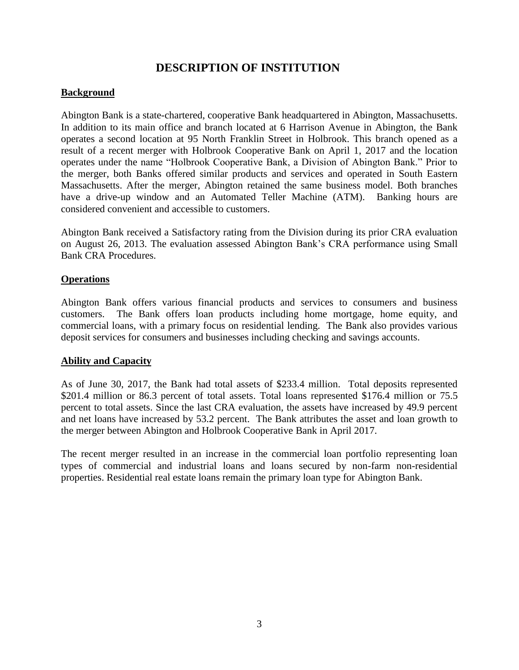# **DESCRIPTION OF INSTITUTION**

## **Background**

Abington Bank is a state-chartered, cooperative Bank headquartered in Abington, Massachusetts. In addition to its main office and branch located at 6 Harrison Avenue in Abington, the Bank operates a second location at 95 North Franklin Street in Holbrook. This branch opened as a result of a recent merger with Holbrook Cooperative Bank on April 1, 2017 and the location operates under the name "Holbrook Cooperative Bank, a Division of Abington Bank." Prior to the merger, both Banks offered similar products and services and operated in South Eastern Massachusetts. After the merger, Abington retained the same business model. Both branches have a drive-up window and an Automated Teller Machine (ATM). Banking hours are considered convenient and accessible to customers.

Abington Bank received a Satisfactory rating from the Division during its prior CRA evaluation on August 26, 2013. The evaluation assessed Abington Bank's CRA performance using Small Bank CRA Procedures.

#### **Operations**

Abington Bank offers various financial products and services to consumers and business customers. The Bank offers loan products including home mortgage, home equity, and commercial loans, with a primary focus on residential lending. The Bank also provides various deposit services for consumers and businesses including checking and savings accounts.

#### **Ability and Capacity**

As of June 30, 2017, the Bank had total assets of \$233.4 million. Total deposits represented \$201.4 million or 86.3 percent of total assets. Total loans represented \$176.4 million or 75.5 percent to total assets. Since the last CRA evaluation, the assets have increased by 49.9 percent and net loans have increased by 53.2 percent. The Bank attributes the asset and loan growth to the merger between Abington and Holbrook Cooperative Bank in April 2017.

The recent merger resulted in an increase in the commercial loan portfolio representing loan types of commercial and industrial loans and loans secured by non-farm non-residential properties. Residential real estate loans remain the primary loan type for Abington Bank.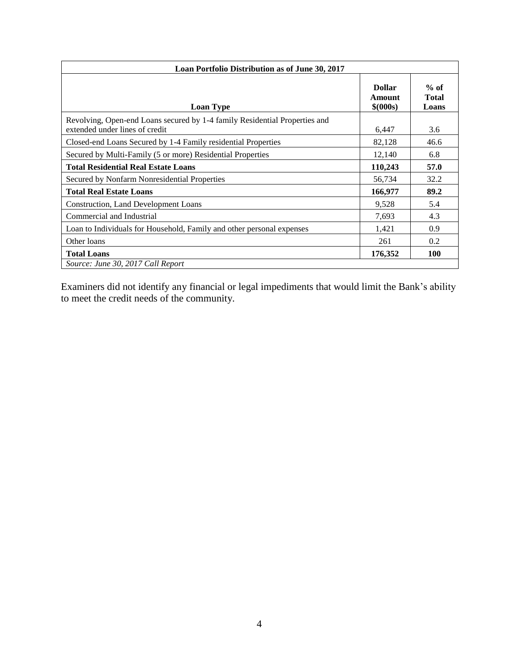| Loan Portfolio Distribution as of June 30, 2017                                                              |                                      |                                 |  |  |  |  |
|--------------------------------------------------------------------------------------------------------------|--------------------------------------|---------------------------------|--|--|--|--|
| <b>Loan Type</b>                                                                                             | <b>Dollar</b><br>Amount<br>\$ (000s) | $%$ of<br><b>Total</b><br>Loans |  |  |  |  |
| Revolving, Open-end Loans secured by 1-4 family Residential Properties and<br>extended under lines of credit | 6,447                                | 3.6                             |  |  |  |  |
| Closed-end Loans Secured by 1-4 Family residential Properties                                                | 82,128                               | 46.6                            |  |  |  |  |
| Secured by Multi-Family (5 or more) Residential Properties                                                   | 12,140                               | 6.8                             |  |  |  |  |
| <b>Total Residential Real Estate Loans</b>                                                                   | 110,243                              | 57.0                            |  |  |  |  |
| Secured by Nonfarm Nonresidential Properties                                                                 | 56,734                               | 32.2                            |  |  |  |  |
| <b>Total Real Estate Loans</b>                                                                               | 166,977                              | 89.2                            |  |  |  |  |
| Construction, Land Development Loans                                                                         | 9,528                                | 5.4                             |  |  |  |  |
| Commercial and Industrial                                                                                    | 7,693                                | 4.3                             |  |  |  |  |
| Loan to Individuals for Household, Family and other personal expenses                                        | 1,421                                | 0.9                             |  |  |  |  |
| Other loans                                                                                                  | 261                                  | 0.2                             |  |  |  |  |
| <b>Total Loans</b>                                                                                           | 176,352                              | <b>100</b>                      |  |  |  |  |
| Source: June 30, 2017 Call Report                                                                            |                                      |                                 |  |  |  |  |

Examiners did not identify any financial or legal impediments that would limit the Bank's ability to meet the credit needs of the community.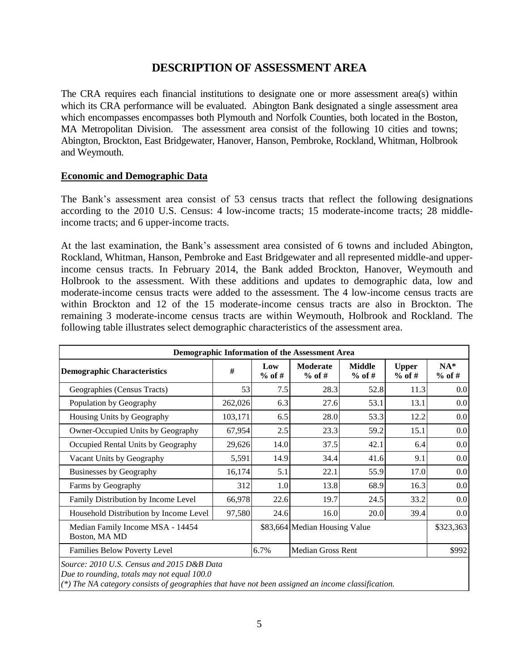## **DESCRIPTION OF ASSESSMENT AREA**

The CRA requires each financial institutions to designate one or more assessment area(s) within which its CRA performance will be evaluated. Abington Bank designated a single assessment area which encompasses encompasses both Plymouth and Norfolk Counties, both located in the Boston, MA Metropolitan Division. The assessment area consist of the following 10 cities and towns; Abington, Brockton, East Bridgewater, Hanover, Hanson, Pembroke, Rockland, Whitman, Holbrook and Weymouth.

#### **Economic and Demographic Data**

The Bank's assessment area consist of 53 census tracts that reflect the following designations according to the 2010 U.S. Census: 4 low-income tracts; 15 moderate-income tracts; 28 middleincome tracts; and 6 upper-income tracts.

At the last examination, the Bank's assessment area consisted of 6 towns and included Abington, Rockland, Whitman, Hanson, Pembroke and East Bridgewater and all represented middle-and upperincome census tracts. In February 2014, the Bank added Brockton, Hanover, Weymouth and Holbrook to the assessment. With these additions and updates to demographic data, low and moderate-income census tracts were added to the assessment. The 4 low-income census tracts are within Brockton and 12 of the 15 moderate-income census tracts are also in Brockton. The remaining 3 moderate-income census tracts are within Weymouth, Holbrook and Rockland. The following table illustrates select demographic characteristics of the assessment area.

| Demographic Information of the Assessment Area    |         |                 |                               |                           |                          |                   |  |
|---------------------------------------------------|---------|-----------------|-------------------------------|---------------------------|--------------------------|-------------------|--|
| <b>Demographic Characteristics</b>                | #       | Low<br>$%$ of # | <b>Moderate</b><br>$%$ of #   | <b>Middle</b><br>$%$ of # | <b>Upper</b><br>$%$ of # | $NA*$<br>$%$ of # |  |
| Geographies (Census Tracts)                       | 53      | 7.5             | 28.3                          | 52.8                      | 11.3                     | 0.0               |  |
| Population by Geography                           | 262,026 | 6.3             | 27.6                          | 53.1                      | 13.1                     | 0.0               |  |
| Housing Units by Geography                        | 103,171 | 6.5             | 28.0                          | 53.3                      | 12.2                     | 0.0               |  |
| Owner-Occupied Units by Geography                 | 67,954  | 2.5             | 23.3                          | 59.2                      | 15.1                     | 0.0               |  |
| Occupied Rental Units by Geography                | 29,626  | 14.0            | 37.5                          | 42.1                      | 6.4                      | 0.0               |  |
| Vacant Units by Geography                         | 5,591   | 14.9            | 34.4                          | 41.6                      | 9.1                      | 0.0               |  |
| <b>Businesses by Geography</b>                    | 16,174  | 5.1             | 22.1                          | 55.9                      | 17.0                     | 0.0               |  |
| Farms by Geography                                | 312     | 1.0             | 13.8                          | 68.9                      | 16.3                     | 0.0               |  |
| Family Distribution by Income Level               | 66,978  | 22.6            | 19.7                          | 24.5                      | 33.2                     | 0.0               |  |
| Household Distribution by Income Level            | 97,580  | 24.6            | 16.0                          | 20.0                      | 39.4                     | 0.0               |  |
| Median Family Income MSA - 14454<br>Boston, MA MD |         |                 | \$83,664 Median Housing Value |                           |                          | \$323,363         |  |
| Families Below Poverty Level                      |         | 6.7%            | <b>Median Gross Rent</b>      |                           |                          | \$992             |  |
| Source: 2010 U.S. Census and 2015 D&B Data        |         |                 |                               |                           |                          |                   |  |

*Due to rounding, totals may not equal 100.0*

*(\*) The NA category consists of geographies that have not been assigned an income classification.*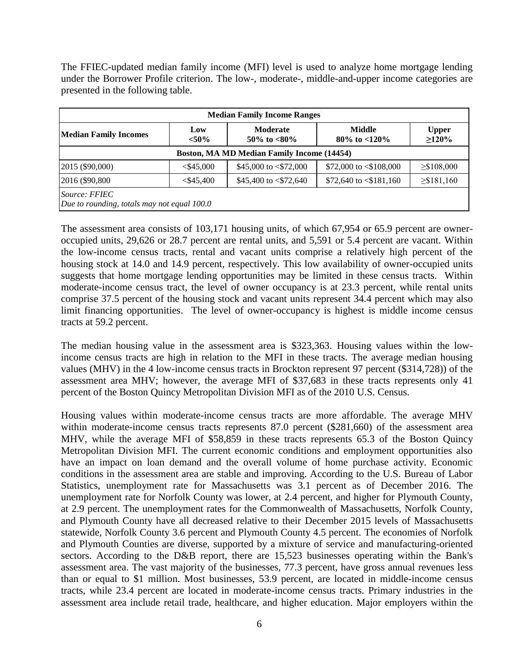The FFIEC-updated median family income (MFI) level is used to analyze home mortgage lending under the Borrower Profile criterion. The low-, moderate-, middle-and-upper income categories are presented in the following table.

| <b>Median Family Income Ranges</b>                                 |              |                                |                                    |                          |  |  |  |  |
|--------------------------------------------------------------------|--------------|--------------------------------|------------------------------------|--------------------------|--|--|--|--|
| <b>Moderate</b><br>Low<br><b>Median Family Incomes</b><br>$< 50\%$ |              | 50\% to $<80\%$                | <b>Middle</b><br>80\% to $<$ 120\% | <b>Upper</b><br>$>120\%$ |  |  |  |  |
| Boston, MA MD Median Family Income (14454)                         |              |                                |                                    |                          |  |  |  |  |
| 2015 (\$90,000)                                                    | $<$ \$45,000 | \$45,000 to $\leq$ \$72,000    | \$72,000 to $\leq$ \$108,000       | $\geq$ \$108,000         |  |  |  |  |
| 2016 (\$90,800)                                                    | $<$ \$45,400 | \$45,400 to $\langle$ \$72,640 | \$72,640 to $\leq$ \$181,160       | $\geq$ \$181,160         |  |  |  |  |
| Source: FFIEC<br>Due to rounding, totals may not equal 100.0       |              |                                |                                    |                          |  |  |  |  |

The assessment area consists of 103,171 housing units, of which 67,954 or 65.9 percent are owneroccupied units, 29,626 or 28.7 percent are rental units, and 5,591 or 5.4 percent are vacant. Within the low-income census tracts, rental and vacant units comprise a relatively high percent of the housing stock at 14.0 and 14.9 percent, respectively. This low availability of owner-occupied units suggests that home mortgage lending opportunities may be limited in these census tracts. Within moderate-income census tract, the level of owner occupancy is at 23.3 percent, while rental units comprise 37.5 percent of the housing stock and vacant units represent 34.4 percent which may also limit financing opportunities. The level of owner-occupancy is highest is middle income census tracts at 59.2 percent.

The median housing value in the assessment area is \$323,363. Housing values within the lowincome census tracts are high in relation to the MFI in these tracts. The average median housing values (MHV) in the 4 low-income census tracts in Brockton represent 97 percent (\$314,728)) of the assessment area MHV; however, the average MFI of \$37,683 in these tracts represents only 41 percent of the Boston Quincy Metropolitan Division MFI as of the 2010 U.S. Census.

Housing values within moderate-income census tracts are more affordable. The average MHV within moderate-income census tracts represents 87.0 percent (\$281,660) of the assessment area MHV, while the average MFI of \$58,859 in these tracts represents 65.3 of the Boston Quincy Metropolitan Division MFI. The current economic conditions and employment opportunities also have an impact on loan demand and the overall volume of home purchase activity. Economic conditions in the assessment area are stable and improving. According to the U.S. Bureau of Labor Statistics, unemployment rate for Massachusetts was 3.1 percent as of December 2016. The unemployment rate for Norfolk County was lower, at 2.4 percent, and higher for Plymouth County, at 2.9 percent. The unemployment rates for the Commonwealth of Massachusetts, Norfolk County, and Plymouth County have all decreased relative to their December 2015 levels of Massachusetts statewide, Norfolk County 3.6 percent and Plymouth County 4.5 percent. The economies of Norfolk and Plymouth Counties are diverse, supported by a mixture of service and manufacturing-oriented sectors. According to the D&B report, there are 15,523 businesses operating within the Bank's assessment area. The vast majority of the businesses, 77.3 percent, have gross annual revenues less than or equal to \$1 million. Most businesses, 53.9 percent, are located in middle-income census tracts, while 23.4 percent are located in moderate-income census tracts. Primary industries in the assessment area include retail trade, healthcare, and higher education. Major employers within the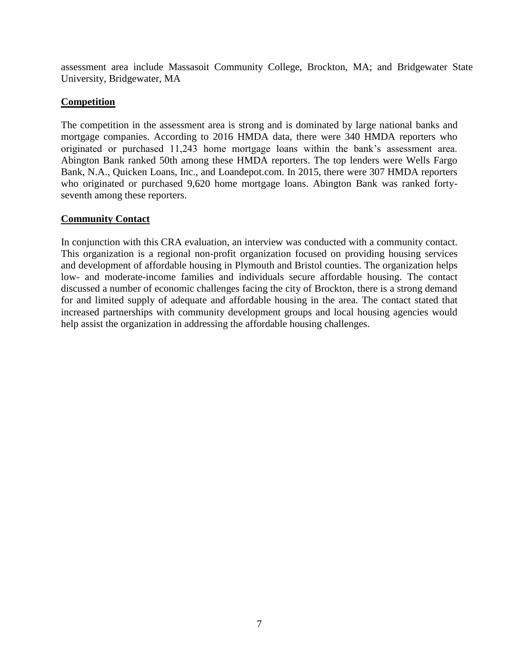assessment area include Massasoit Community College, Brockton, MA; and Bridgewater State University, Bridgewater, MA

## **Competition**

The competition in the assessment area is strong and is dominated by large national banks and mortgage companies. According to 2016 HMDA data, there were 340 HMDA reporters who originated or purchased 11,243 home mortgage loans within the bank's assessment area. Abington Bank ranked 50th among these HMDA reporters. The top lenders were Wells Fargo Bank, N.A., Quicken Loans, Inc., and Loandepot.com. In 2015, there were 307 HMDA reporters who originated or purchased 9,620 home mortgage loans. Abington Bank was ranked fortyseventh among these reporters.

### **Community Contact**

In conjunction with this CRA evaluation, an interview was conducted with a community contact. This organization is a regional non-profit organization focused on providing housing services and development of affordable housing in Plymouth and Bristol counties. The organization helps low- and moderate-income families and individuals secure affordable housing. The contact discussed a number of economic challenges facing the city of Brockton, there is a strong demand for and limited supply of adequate and affordable housing in the area. The contact stated that increased partnerships with community development groups and local housing agencies would help assist the organization in addressing the affordable housing challenges.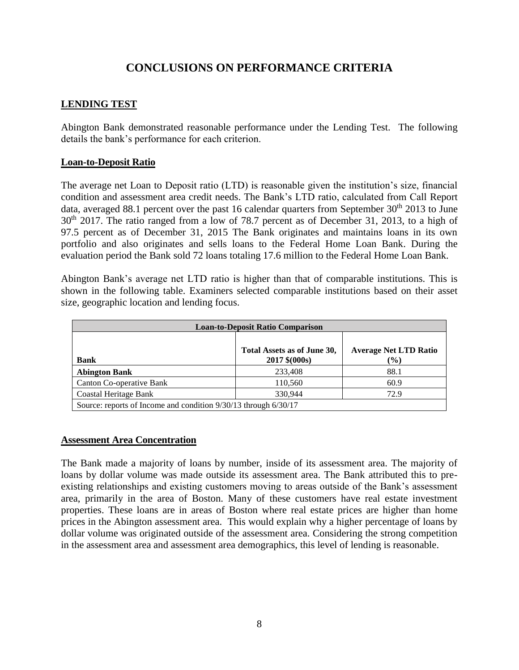# **CONCLUSIONS ON PERFORMANCE CRITERIA**

## **LENDING TEST**

Abington Bank demonstrated reasonable performance under the Lending Test. The following details the bank's performance for each criterion.

#### **Loan-to-Deposit Ratio**

The average net Loan to Deposit ratio (LTD) is reasonable given the institution's size, financial condition and assessment area credit needs. The Bank's LTD ratio, calculated from Call Report data, averaged 88.1 percent over the past 16 calendar quarters from September  $30<sup>th</sup>$  2013 to June 30<sup>th</sup> 2017. The ratio ranged from a low of 78.7 percent as of December 31, 2013, to a high of 97.5 percent as of December 31, 2015 The Bank originates and maintains loans in its own portfolio and also originates and sells loans to the Federal Home Loan Bank. During the evaluation period the Bank sold 72 loans totaling 17.6 million to the Federal Home Loan Bank.

Abington Bank's average net LTD ratio is higher than that of comparable institutions. This is shown in the following table. Examiners selected comparable institutions based on their asset size, geographic location and lending focus.

| <b>Loan-to-Deposit Ratio Comparison</b> |                                                                 |                                        |  |  |  |  |  |  |
|-----------------------------------------|-----------------------------------------------------------------|----------------------------------------|--|--|--|--|--|--|
| <b>Bank</b>                             | Total Assets as of June 30,<br>2017 \$(000s)                    | <b>Average Net LTD Ratio</b><br>$(\%)$ |  |  |  |  |  |  |
| <b>Abington Bank</b>                    | 233,408                                                         | 88.1                                   |  |  |  |  |  |  |
| Canton Co-operative Bank                | 110,560                                                         | 60.9                                   |  |  |  |  |  |  |
| Coastal Heritage Bank                   | 330.944                                                         | 72.9                                   |  |  |  |  |  |  |
|                                         | Source: reports of Income and condition 9/30/13 through 6/30/17 |                                        |  |  |  |  |  |  |

#### **Assessment Area Concentration**

The Bank made a majority of loans by number, inside of its assessment area. The majority of loans by dollar volume was made outside its assessment area. The Bank attributed this to preexisting relationships and existing customers moving to areas outside of the Bank's assessment area, primarily in the area of Boston. Many of these customers have real estate investment properties. These loans are in areas of Boston where real estate prices are higher than home prices in the Abington assessment area. This would explain why a higher percentage of loans by dollar volume was originated outside of the assessment area. Considering the strong competition in the assessment area and assessment area demographics, this level of lending is reasonable.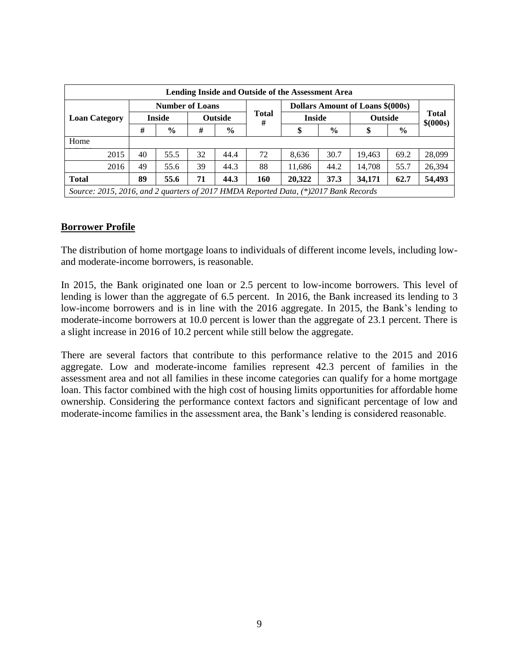| Lending Inside and Outside of the Assessment Area                                   |    |                        |    |                |                                  |                                 |               |        |                    |        |
|-------------------------------------------------------------------------------------|----|------------------------|----|----------------|----------------------------------|---------------------------------|---------------|--------|--------------------|--------|
|                                                                                     |    | <b>Number of Loans</b> |    |                | Dollars Amount of Loans \$(000s) |                                 |               |        |                    |        |
| <b>Loan Category</b>                                                                |    | <b>Inside</b>          |    | <b>Outside</b> | <b>Total</b><br>#                | <b>Inside</b><br><b>Outside</b> |               |        | Total<br>\$ (000s) |        |
|                                                                                     | #  | $\frac{6}{6}$          | #  | $\%$           |                                  | Φ                               | $\frac{0}{0}$ | \$     | $\%$               |        |
| Home                                                                                |    |                        |    |                |                                  |                                 |               |        |                    |        |
| 2015                                                                                | 40 | 55.5                   | 32 | 44.4           | 72                               | 8,636                           | 30.7          | 19.463 | 69.2               | 28,099 |
| 2016                                                                                | 49 | 55.6                   | 39 | 44.3           | 88                               | 11,686                          | 44.2          | 14.708 | 55.7               | 26,394 |
| <b>Total</b>                                                                        | 89 | 55.6                   | 71 | 44.3           | 160                              | 20,322                          | 37.3          | 34,171 | 62.7               | 54,493 |
| Source: 2015, 2016, and 2 quarters of 2017 HMDA Reported Data, (*)2017 Bank Records |    |                        |    |                |                                  |                                 |               |        |                    |        |

### **Borrower Profile**

The distribution of home mortgage loans to individuals of different income levels, including lowand moderate-income borrowers, is reasonable.

In 2015, the Bank originated one loan or 2.5 percent to low-income borrowers. This level of lending is lower than the aggregate of 6.5 percent. In 2016, the Bank increased its lending to 3 low-income borrowers and is in line with the 2016 aggregate. In 2015, the Bank's lending to moderate-income borrowers at 10.0 percent is lower than the aggregate of 23.1 percent. There is a slight increase in 2016 of 10.2 percent while still below the aggregate.

There are several factors that contribute to this performance relative to the 2015 and 2016 aggregate. Low and moderate-income families represent 42.3 percent of families in the assessment area and not all families in these income categories can qualify for a home mortgage loan. This factor combined with the high cost of housing limits opportunities for affordable home ownership. Considering the performance context factors and significant percentage of low and moderate-income families in the assessment area, the Bank's lending is considered reasonable.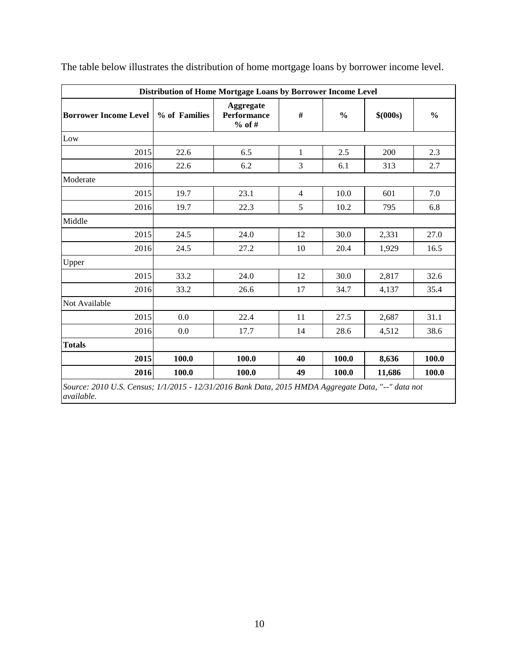| Distribution of Home Mortgage Loans by Borrower Income Level |               |                                             |                |               |           |               |  |
|--------------------------------------------------------------|---------------|---------------------------------------------|----------------|---------------|-----------|---------------|--|
| <b>Borrower Income Level</b>                                 | % of Families | Aggregate<br><b>Performance</b><br>$%$ of # | #              | $\frac{0}{0}$ | \$ (000s) | $\frac{0}{0}$ |  |
| Low                                                          |               |                                             |                |               |           |               |  |
| 2015                                                         | 22.6          | 6.5                                         | $\mathbf{1}$   | 2.5           | 200       | 2.3           |  |
| 2016                                                         | 22.6          | 6.2                                         | 3              | 6.1           | 313       | 2.7           |  |
| Moderate                                                     |               |                                             |                |               |           |               |  |
| 2015                                                         | 19.7          | 23.1                                        | $\overline{4}$ | 10.0          | 601       | 7.0           |  |
| 2016                                                         | 19.7          | 22.3                                        | 5              | 10.2          | 795       | 6.8           |  |
| Middle                                                       |               |                                             |                |               |           |               |  |
| 2015                                                         | 24.5          | 24.0                                        | 12             | 30.0          | 2,331     | 27.0          |  |
| 2016                                                         | 24.5          | 27.2                                        | 10             | 20.4          | 1,929     | 16.5          |  |
| Upper                                                        |               |                                             |                |               |           |               |  |
| 2015                                                         | 33.2          | 24.0                                        | 12             | 30.0          | 2,817     | 32.6          |  |
| 2016                                                         | 33.2          | 26.6                                        | 17             | 34.7          | 4,137     | 35.4          |  |
| Not Available                                                |               |                                             |                |               |           |               |  |
| 2015                                                         | 0.0           | 22.4                                        | 11             | 27.5          | 2,687     | 31.1          |  |
| 2016                                                         | 0.0           | 17.7                                        | 14             | 28.6          | 4,512     | 38.6          |  |
| <b>Totals</b>                                                |               |                                             |                |               |           |               |  |
| 2015                                                         | 100.0         | 100.0                                       | 40             | 100.0         | 8,636     | 100.0         |  |
| 2016                                                         | 100.0         | 100.0                                       | 49             | 100.0         | 11,686    | 100.0         |  |

The table below illustrates the distribution of home mortgage loans by borrower income level.

*Source: 2010 U.S. Census; 1/1/2015 - 12/31/2016 Bank Data, 2015 HMDA Aggregate Data, "--" data not available.*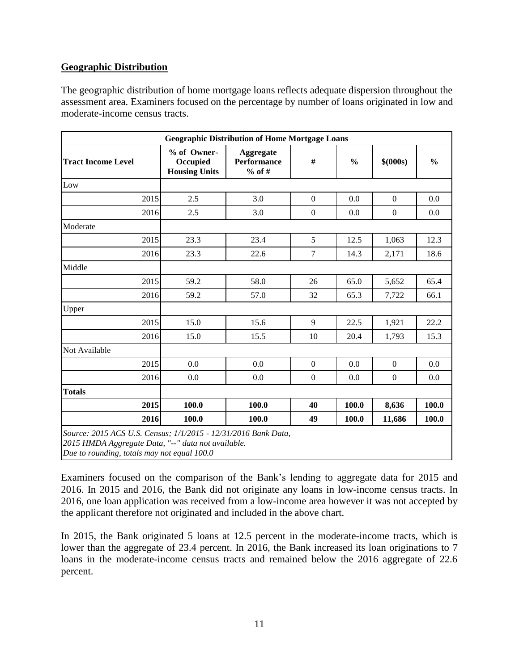## **Geographic Distribution**

The geographic distribution of home mortgage loans reflects adequate dispersion throughout the assessment area. Examiners focused on the percentage by number of loans originated in low and moderate-income census tracts.

| <b>Geographic Distribution of Home Mortgage Loans</b>                                                                |                                                 |                                             |                  |               |                  |               |  |
|----------------------------------------------------------------------------------------------------------------------|-------------------------------------------------|---------------------------------------------|------------------|---------------|------------------|---------------|--|
| <b>Tract Income Level</b>                                                                                            | % of Owner-<br>Occupied<br><b>Housing Units</b> | Aggregate<br><b>Performance</b><br>$%$ of # | $\#$             | $\frac{0}{0}$ | \$ (000s)        | $\frac{0}{0}$ |  |
| Low                                                                                                                  |                                                 |                                             |                  |               |                  |               |  |
| 2015                                                                                                                 | 2.5                                             | 3.0                                         | $\boldsymbol{0}$ | 0.0           | $\boldsymbol{0}$ | 0.0           |  |
| 2016                                                                                                                 | 2.5                                             | 3.0                                         | $\boldsymbol{0}$ | 0.0           | $\boldsymbol{0}$ | 0.0           |  |
| Moderate                                                                                                             |                                                 |                                             |                  |               |                  |               |  |
| 2015                                                                                                                 | 23.3                                            | 23.4                                        | 5                | 12.5          | 1,063            | 12.3          |  |
| 2016                                                                                                                 | 23.3                                            | 22.6                                        | 7                | 14.3          | 2,171            | 18.6          |  |
| Middle                                                                                                               |                                                 |                                             |                  |               |                  |               |  |
| 2015                                                                                                                 | 59.2                                            | 58.0                                        | 26               | 65.0          | 5,652            | 65.4          |  |
| 2016                                                                                                                 | 59.2                                            | 57.0                                        | 32               | 65.3          | 7,722            | 66.1          |  |
| Upper                                                                                                                |                                                 |                                             |                  |               |                  |               |  |
| 2015                                                                                                                 | 15.0                                            | 15.6                                        | 9                | 22.5          | 1,921            | 22.2          |  |
| 2016                                                                                                                 | 15.0                                            | 15.5                                        | 10               | 20.4          | 1,793            | 15.3          |  |
| Not Available                                                                                                        |                                                 |                                             |                  |               |                  |               |  |
| 2015                                                                                                                 | 0.0                                             | 0.0                                         | $\boldsymbol{0}$ | 0.0           | $\mathbf{0}$     | 0.0           |  |
| 2016                                                                                                                 | 0.0                                             | 0.0                                         | $\boldsymbol{0}$ | 0.0           | $\boldsymbol{0}$ | 0.0           |  |
| <b>Totals</b>                                                                                                        |                                                 |                                             |                  |               |                  |               |  |
| 2015                                                                                                                 | 100.0                                           | 100.0                                       | 40               | 100.0         | 8,636            | 100.0         |  |
| 2016                                                                                                                 | 100.0                                           | 100.0                                       | 49               | 100.0         | 11,686           | 100.0         |  |
| Source: 2015 ACS U.S. Census; 1/1/2015 - 12/31/2016 Bank Data,<br>2015 HMDA Aggregate Data, "--" data not available. |                                                 |                                             |                  |               |                  |               |  |

*Due to rounding, totals may not equal 100.0*

Examiners focused on the comparison of the Bank's lending to aggregate data for 2015 and 2016. In 2015 and 2016, the Bank did not originate any loans in low-income census tracts. In 2016, one loan application was received from a low-income area however it was not accepted by the applicant therefore not originated and included in the above chart.

In 2015, the Bank originated 5 loans at 12.5 percent in the moderate-income tracts, which is lower than the aggregate of 23.4 percent. In 2016, the Bank increased its loan originations to 7 loans in the moderate-income census tracts and remained below the 2016 aggregate of 22.6 percent.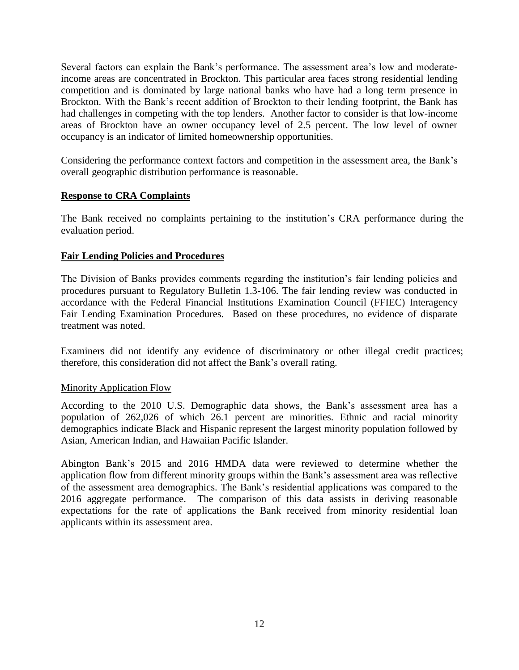Several factors can explain the Bank's performance. The assessment area's low and moderateincome areas are concentrated in Brockton. This particular area faces strong residential lending competition and is dominated by large national banks who have had a long term presence in Brockton. With the Bank's recent addition of Brockton to their lending footprint, the Bank has had challenges in competing with the top lenders. Another factor to consider is that low-income areas of Brockton have an owner occupancy level of 2.5 percent. The low level of owner occupancy is an indicator of limited homeownership opportunities.

Considering the performance context factors and competition in the assessment area, the Bank's overall geographic distribution performance is reasonable.

#### **Response to CRA Complaints**

The Bank received no complaints pertaining to the institution's CRA performance during the evaluation period.

### **Fair Lending Policies and Procedures**

The Division of Banks provides comments regarding the institution's fair lending policies and procedures pursuant to Regulatory Bulletin 1.3-106. The fair lending review was conducted in accordance with the Federal Financial Institutions Examination Council (FFIEC) Interagency Fair Lending Examination Procedures. Based on these procedures, no evidence of disparate treatment was noted.

Examiners did not identify any evidence of discriminatory or other illegal credit practices; therefore, this consideration did not affect the Bank's overall rating.

#### Minority Application Flow

According to the 2010 U.S. Demographic data shows, the Bank's assessment area has a population of 262,026 of which 26.1 percent are minorities. Ethnic and racial minority demographics indicate Black and Hispanic represent the largest minority population followed by Asian, American Indian, and Hawaiian Pacific Islander.

Abington Bank's 2015 and 2016 HMDA data were reviewed to determine whether the application flow from different minority groups within the Bank's assessment area was reflective of the assessment area demographics. The Bank's residential applications was compared to the 2016 aggregate performance. The comparison of this data assists in deriving reasonable expectations for the rate of applications the Bank received from minority residential loan applicants within its assessment area.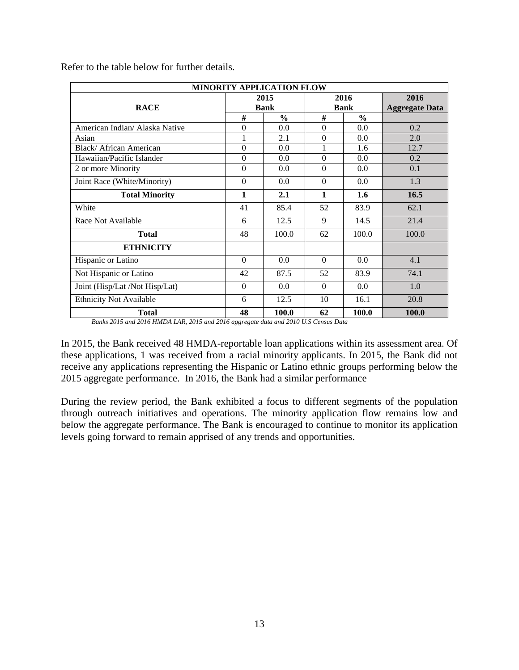| MINORITY APPLICATION FLOW      |             |               |          |               |                       |  |  |
|--------------------------------|-------------|---------------|----------|---------------|-----------------------|--|--|
|                                |             | 2015          |          | 2016          | 2016                  |  |  |
| <b>RACE</b>                    | <b>Bank</b> |               |          | <b>Bank</b>   | <b>Aggregate Data</b> |  |  |
|                                | #           | $\frac{0}{0}$ | #        | $\frac{0}{0}$ |                       |  |  |
| American Indian/ Alaska Native | $\theta$    | 0.0           | $\theta$ | 0.0           | 0.2                   |  |  |
| Asian                          | 1           | 2.1           | $\theta$ | 0.0           | 2.0                   |  |  |
| Black/African American         | $\Omega$    | 0.0           | 1        | 1.6           | 12.7                  |  |  |
| Hawaiian/Pacific Islander      | $\Omega$    | $0.0^{\circ}$ | $\theta$ | 0.0           | 0.2                   |  |  |
| 2 or more Minority             | $\Omega$    | 0.0           | $\theta$ | 0.0           | 0.1                   |  |  |
| Joint Race (White/Minority)    | $\Omega$    | 0.0           | $\theta$ | 0.0           | 1.3                   |  |  |
| <b>Total Minority</b>          | 1           | 2.1           | 1        | 1.6           | 16.5                  |  |  |
| White                          | 41          | 85.4          | 52       | 83.9          | 62.1                  |  |  |
| Race Not Available             | 6           | 12.5          | 9        | 14.5          | 21.4                  |  |  |
| <b>Total</b>                   | 48          | 100.0         | 62       | 100.0         | 100.0                 |  |  |
| <b>ETHNICITY</b>               |             |               |          |               |                       |  |  |
| Hispanic or Latino             | $\Omega$    | 0.0           | $\Omega$ | 0.0           | 4.1                   |  |  |
| Not Hispanic or Latino         | 42          | 87.5          | 52       | 83.9          | 74.1                  |  |  |
| Joint (Hisp/Lat /Not Hisp/Lat) | $\Omega$    | 0.0           | $\Omega$ | 0.0           | 1.0                   |  |  |
| <b>Ethnicity Not Available</b> | 6           | 12.5          | 10       | 16.1          | 20.8                  |  |  |
| <b>Total</b>                   | 48          | 100.0         | 62       | 100.0         | 100.0                 |  |  |

Refer to the table below for further details.

*Banks 2015 and 2016 HMDA LAR, 2015 and 2016 aggregate data and 2010 U.S Census Data*

In 2015, the Bank received 48 HMDA-reportable loan applications within its assessment area. Of these applications, 1 was received from a racial minority applicants. In 2015, the Bank did not receive any applications representing the Hispanic or Latino ethnic groups performing below the 2015 aggregate performance. In 2016, the Bank had a similar performance

During the review period, the Bank exhibited a focus to different segments of the population through outreach initiatives and operations. The minority application flow remains low and below the aggregate performance. The Bank is encouraged to continue to monitor its application levels going forward to remain apprised of any trends and opportunities.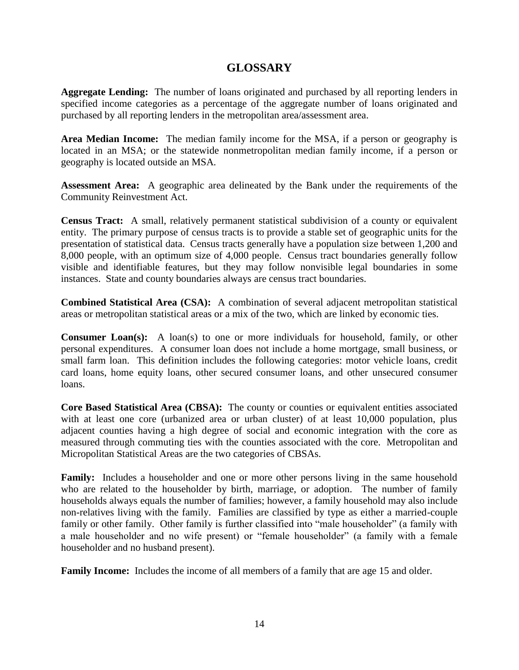## **GLOSSARY**

**Aggregate Lending:** The number of loans originated and purchased by all reporting lenders in specified income categories as a percentage of the aggregate number of loans originated and purchased by all reporting lenders in the metropolitan area/assessment area.

**Area Median Income:** The median family income for the MSA, if a person or geography is located in an MSA; or the statewide nonmetropolitan median family income, if a person or geography is located outside an MSA*.*

**Assessment Area:** A geographic area delineated by the Bank under the requirements of the Community Reinvestment Act.

**Census Tract:** A small, relatively permanent statistical subdivision of a county or equivalent entity. The primary purpose of census tracts is to provide a stable set of geographic units for the presentation of statistical data. Census tracts generally have a population size between 1,200 and 8,000 people, with an optimum size of 4,000 people. Census tract boundaries generally follow visible and identifiable features, but they may follow nonvisible legal boundaries in some instances. State and county boundaries always are census tract boundaries.

**Combined Statistical Area (CSA):** A combination of several adjacent metropolitan statistical areas or metropolitan statistical areas or a mix of the two, which are linked by economic ties.

**Consumer Loan(s):** A loan(s) to one or more individuals for household, family, or other personal expenditures. A consumer loan does not include a home mortgage, small business, or small farm loan. This definition includes the following categories: motor vehicle loans, credit card loans, home equity loans, other secured consumer loans, and other unsecured consumer loans.

**Core Based Statistical Area (CBSA):** The county or counties or equivalent entities associated with at least one core (urbanized area or urban cluster) of at least 10,000 population, plus adjacent counties having a high degree of social and economic integration with the core as measured through commuting ties with the counties associated with the core. Metropolitan and Micropolitan Statistical Areas are the two categories of CBSAs.

**Family:** Includes a householder and one or more other persons living in the same household who are related to the householder by birth, marriage, or adoption. The number of family households always equals the number of families; however, a family household may also include non-relatives living with the family. Families are classified by type as either a married-couple family or other family. Other family is further classified into "male householder" (a family with a male householder and no wife present) or "female householder" (a family with a female householder and no husband present).

**Family Income:** Includes the income of all members of a family that are age 15 and older.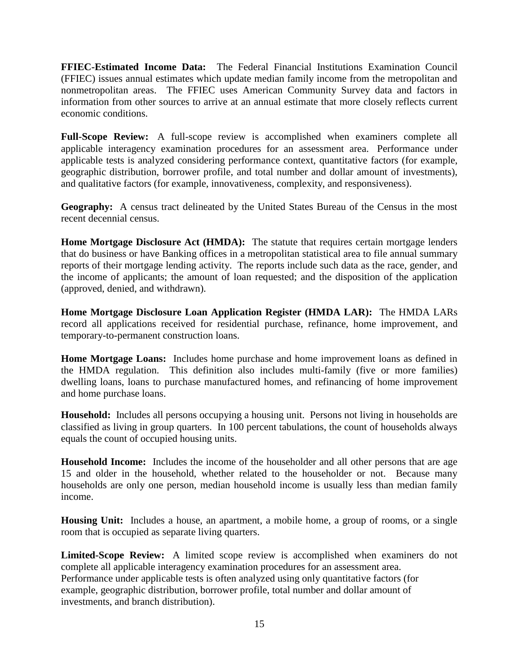**FFIEC-Estimated Income Data:** The Federal Financial Institutions Examination Council (FFIEC) issues annual estimates which update median family income from the metropolitan and nonmetropolitan areas. The FFIEC uses American Community Survey data and factors in information from other sources to arrive at an annual estimate that more closely reflects current economic conditions.

**Full-Scope Review:** A full-scope review is accomplished when examiners complete all applicable interagency examination procedures for an assessment area. Performance under applicable tests is analyzed considering performance context, quantitative factors (for example, geographic distribution, borrower profile, and total number and dollar amount of investments), and qualitative factors (for example, innovativeness, complexity, and responsiveness).

**Geography:** A census tract delineated by the United States Bureau of the Census in the most recent decennial census.

**Home Mortgage Disclosure Act (HMDA):** The statute that requires certain mortgage lenders that do business or have Banking offices in a metropolitan statistical area to file annual summary reports of their mortgage lending activity. The reports include such data as the race, gender, and the income of applicants; the amount of loan requested; and the disposition of the application (approved, denied, and withdrawn).

**Home Mortgage Disclosure Loan Application Register (HMDA LAR):** The HMDA LARs record all applications received for residential purchase, refinance, home improvement, and temporary-to-permanent construction loans.

**Home Mortgage Loans:** Includes home purchase and home improvement loans as defined in the HMDA regulation. This definition also includes multi-family (five or more families) dwelling loans, loans to purchase manufactured homes, and refinancing of home improvement and home purchase loans.

**Household:** Includes all persons occupying a housing unit. Persons not living in households are classified as living in group quarters. In 100 percent tabulations, the count of households always equals the count of occupied housing units.

**Household Income:** Includes the income of the householder and all other persons that are age 15 and older in the household, whether related to the householder or not. Because many households are only one person, median household income is usually less than median family income.

**Housing Unit:** Includes a house, an apartment, a mobile home, a group of rooms, or a single room that is occupied as separate living quarters.

**Limited-Scope Review:** A limited scope review is accomplished when examiners do not complete all applicable interagency examination procedures for an assessment area. Performance under applicable tests is often analyzed using only quantitative factors (for example, geographic distribution, borrower profile, total number and dollar amount of investments, and branch distribution).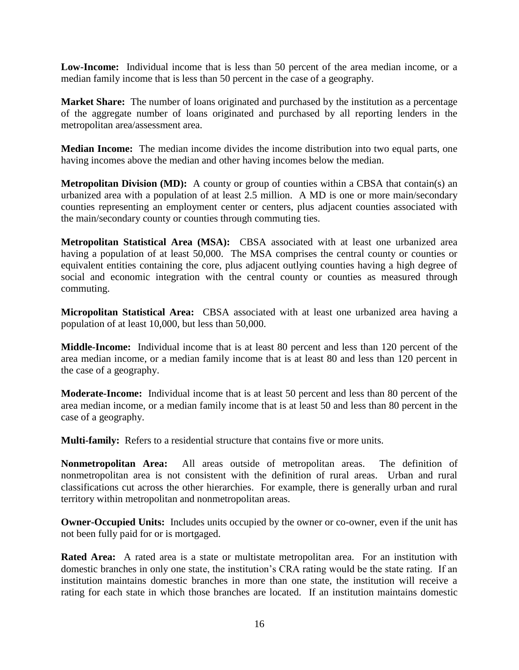**Low-Income:** Individual income that is less than 50 percent of the area median income, or a median family income that is less than 50 percent in the case of a geography.

**Market Share:** The number of loans originated and purchased by the institution as a percentage of the aggregate number of loans originated and purchased by all reporting lenders in the metropolitan area/assessment area.

**Median Income:** The median income divides the income distribution into two equal parts, one having incomes above the median and other having incomes below the median.

**Metropolitan Division (MD):** A county or group of counties within a CBSA that contain(s) an urbanized area with a population of at least 2.5 million. A MD is one or more main/secondary counties representing an employment center or centers, plus adjacent counties associated with the main/secondary county or counties through commuting ties.

**Metropolitan Statistical Area (MSA):** CBSA associated with at least one urbanized area having a population of at least 50,000. The MSA comprises the central county or counties or equivalent entities containing the core, plus adjacent outlying counties having a high degree of social and economic integration with the central county or counties as measured through commuting.

**Micropolitan Statistical Area:** CBSA associated with at least one urbanized area having a population of at least 10,000, but less than 50,000.

**Middle-Income:** Individual income that is at least 80 percent and less than 120 percent of the area median income, or a median family income that is at least 80 and less than 120 percent in the case of a geography.

**Moderate-Income:** Individual income that is at least 50 percent and less than 80 percent of the area median income, or a median family income that is at least 50 and less than 80 percent in the case of a geography.

**Multi-family:** Refers to a residential structure that contains five or more units.

**Nonmetropolitan Area:** All areas outside of metropolitan areas. The definition of nonmetropolitan area is not consistent with the definition of rural areas. Urban and rural classifications cut across the other hierarchies. For example, there is generally urban and rural territory within metropolitan and nonmetropolitan areas.

**Owner-Occupied Units:** Includes units occupied by the owner or co-owner, even if the unit has not been fully paid for or is mortgaged.

**Rated Area:** A rated area is a state or multistate metropolitan area. For an institution with domestic branches in only one state, the institution's CRA rating would be the state rating. If an institution maintains domestic branches in more than one state, the institution will receive a rating for each state in which those branches are located. If an institution maintains domestic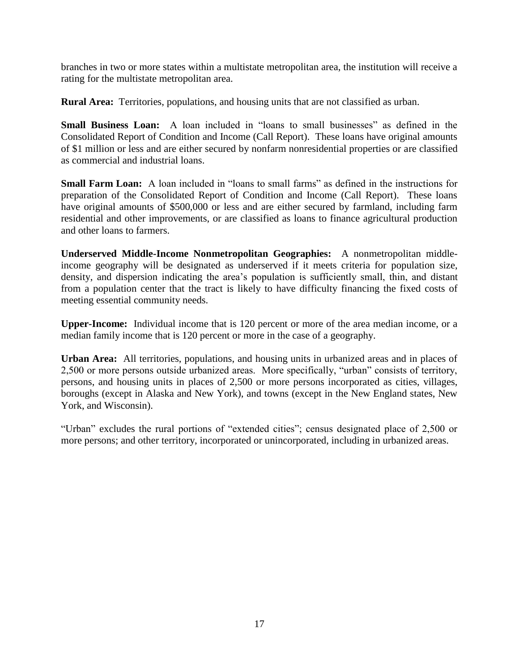branches in two or more states within a multistate metropolitan area, the institution will receive a rating for the multistate metropolitan area.

**Rural Area:** Territories, populations, and housing units that are not classified as urban.

**Small Business Loan:** A loan included in "loans to small businesses" as defined in the Consolidated Report of Condition and Income (Call Report). These loans have original amounts of \$1 million or less and are either secured by nonfarm nonresidential properties or are classified as commercial and industrial loans.

**Small Farm Loan:** A loan included in "loans to small farms" as defined in the instructions for preparation of the Consolidated Report of Condition and Income (Call Report). These loans have original amounts of \$500,000 or less and are either secured by farmland, including farm residential and other improvements, or are classified as loans to finance agricultural production and other loans to farmers.

**Underserved Middle-Income Nonmetropolitan Geographies:** A nonmetropolitan middleincome geography will be designated as underserved if it meets criteria for population size, density, and dispersion indicating the area's population is sufficiently small, thin, and distant from a population center that the tract is likely to have difficulty financing the fixed costs of meeting essential community needs.

**Upper-Income:** Individual income that is 120 percent or more of the area median income, or a median family income that is 120 percent or more in the case of a geography.

**Urban Area:** All territories, populations, and housing units in urbanized areas and in places of 2,500 or more persons outside urbanized areas. More specifically, "urban" consists of territory, persons, and housing units in places of 2,500 or more persons incorporated as cities, villages, boroughs (except in Alaska and New York), and towns (except in the New England states, New York, and Wisconsin).

"Urban" excludes the rural portions of "extended cities"; census designated place of 2,500 or more persons; and other territory, incorporated or unincorporated, including in urbanized areas.